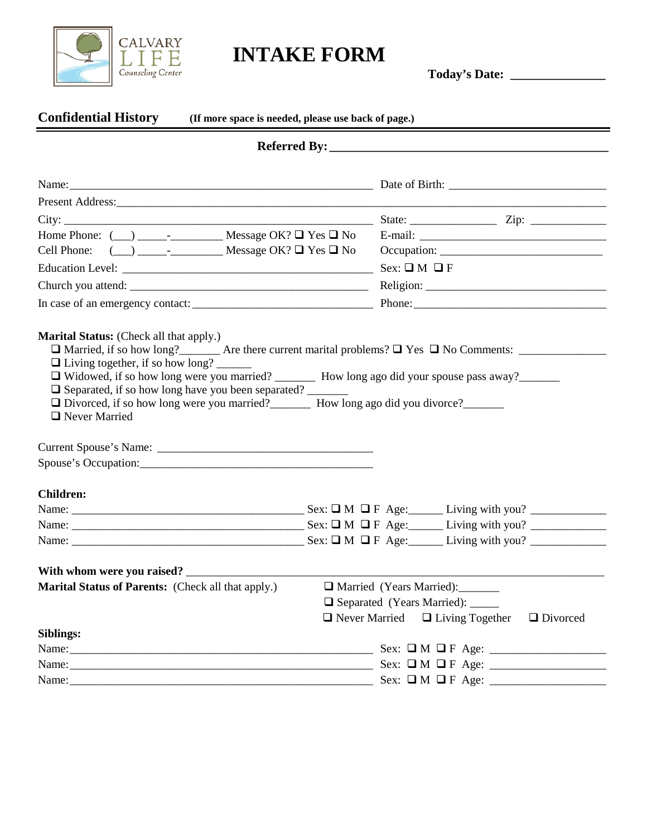

# **INTAKE FORM Today's Date: \_\_\_\_\_\_\_\_\_\_\_\_\_\_\_**

| <b>Confidential History</b><br>(If more space is needed, please use back of page.)                        |  |                            |                                                                |
|-----------------------------------------------------------------------------------------------------------|--|----------------------------|----------------------------------------------------------------|
|                                                                                                           |  |                            |                                                                |
|                                                                                                           |  |                            |                                                                |
|                                                                                                           |  |                            |                                                                |
|                                                                                                           |  |                            |                                                                |
|                                                                                                           |  |                            |                                                                |
|                                                                                                           |  |                            |                                                                |
|                                                                                                           |  | $Sex: \square M \square F$ |                                                                |
|                                                                                                           |  |                            |                                                                |
|                                                                                                           |  |                            | Phone:                                                         |
| $\Box$ Never Married                                                                                      |  |                            |                                                                |
| <b>Children:</b>                                                                                          |  |                            |                                                                |
|                                                                                                           |  |                            |                                                                |
|                                                                                                           |  |                            |                                                                |
|                                                                                                           |  |                            |                                                                |
| With whom were you raised?                                                                                |  |                            |                                                                |
| Marital Status of Parents: (Check all that apply.)<br><u> </u> <b>a</b> Married (Years Married): ________ |  |                            |                                                                |
|                                                                                                           |  |                            | □ Separated (Years Married): _____                             |
|                                                                                                           |  |                            | $\Box$ Never Married $\Box$ Living Together<br>$\Box$ Divorced |
| <b>Siblings:</b>                                                                                          |  |                            |                                                                |
|                                                                                                           |  |                            |                                                                |
|                                                                                                           |  |                            |                                                                |
|                                                                                                           |  |                            |                                                                |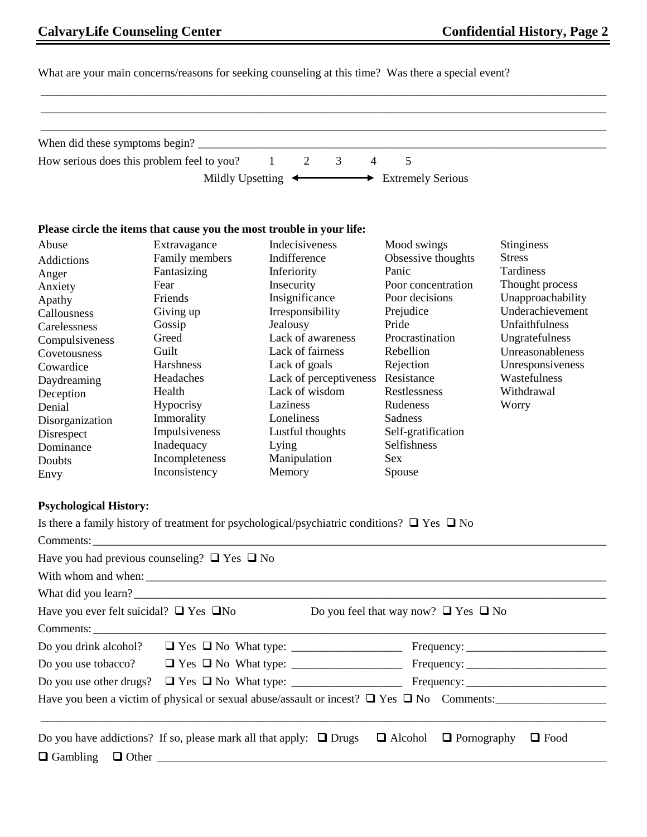# **CalvaryLife Counseling Center Confidential History, Page 2**

What are your main concerns/reasons for seeking counseling at this time? Was there a special event?

\_\_\_\_\_\_\_\_\_\_\_\_\_\_\_\_\_\_\_\_\_\_\_\_\_\_\_\_\_\_\_\_\_\_\_\_\_\_\_\_\_\_\_\_\_\_\_\_\_\_\_\_\_\_\_\_\_\_\_\_\_\_\_\_\_\_\_\_\_\_\_\_\_\_\_\_\_\_\_\_\_\_\_\_\_\_\_\_\_\_\_\_\_\_\_\_\_

|                               | How serious does this problem feel to you?                            | $1 \t 2$<br>$\overline{3}$<br>$\overline{4}$                                                          | 5                  |                   |
|-------------------------------|-----------------------------------------------------------------------|-------------------------------------------------------------------------------------------------------|--------------------|-------------------|
|                               |                                                                       | Mildly Upsetting $\longleftrightarrow$ Extremely Serious                                              |                    |                   |
|                               | Please circle the items that cause you the most trouble in your life: |                                                                                                       |                    |                   |
| Abuse                         | Extravagance                                                          | Indecisiveness                                                                                        | Mood swings        | <b>Stinginess</b> |
| Addictions                    | Family members                                                        | Indifference                                                                                          | Obsessive thoughts | <b>Stress</b>     |
| Anger                         | Fantasizing                                                           | Inferiority                                                                                           | Panic              | Tardiness         |
| Anxiety                       | Fear                                                                  | Insecurity                                                                                            | Poor concentration | Thought process   |
| Apathy                        | Friends                                                               | Insignificance                                                                                        | Poor decisions     | Unapproachability |
| Callousness                   | Giving up                                                             | Irresponsibility                                                                                      | Prejudice          | Underachievement  |
| Carelessness                  | Gossip                                                                | Jealousy                                                                                              | Pride              | Unfaithfulness    |
| Compulsiveness                | Greed                                                                 | Lack of awareness                                                                                     | Procrastination    | Ungratefulness    |
| Covetousness                  | Guilt                                                                 | Lack of fairness                                                                                      | Rebellion          | Unreasonableness  |
| Cowardice                     | Harshness                                                             | Lack of goals                                                                                         | Rejection          | Unresponsiveness  |
| Daydreaming                   | Headaches                                                             | Lack of perceptiveness Resistance                                                                     |                    | Wastefulness      |
| Deception                     | Health                                                                | Lack of wisdom                                                                                        | Restlessness       | Withdrawal        |
| Denial                        | Hypocrisy                                                             | Laziness                                                                                              | Rudeness           | Worry             |
| Disorganization               | Immorality                                                            | Loneliness                                                                                            | Sadness            |                   |
| Disrespect                    | Impulsiveness                                                         | Lustful thoughts                                                                                      | Self-gratification |                   |
| Dominance                     | Inadequacy                                                            | Lying                                                                                                 | Selfishness        |                   |
| Doubts                        | Incompleteness                                                        | Manipulation                                                                                          | Sex                |                   |
| Envy                          | Inconsistency                                                         | Memory                                                                                                | Spouse             |                   |
| <b>Psychological History:</b> |                                                                       |                                                                                                       |                    |                   |
|                               |                                                                       | Is there a family history of treatment for psychological/psychiatric conditions? $\Box$ Yes $\Box$ No |                    |                   |
|                               | Comments:                                                             |                                                                                                       |                    |                   |
|                               | Have you had previous counseling? $\Box$ Yes $\Box$ No                |                                                                                                       |                    |                   |
|                               | With whom and when:                                                   |                                                                                                       |                    |                   |
| What did you learn?           |                                                                       |                                                                                                       |                    |                   |
|                               |                                                                       |                                                                                                       |                    |                   |

| Have you ever felt suicidal? $\Box$ Yes $\Box$ No |                                                                         | Do you feel that way now? $\Box$ Yes $\Box$ No |                                                                                                      |
|---------------------------------------------------|-------------------------------------------------------------------------|------------------------------------------------|------------------------------------------------------------------------------------------------------|
|                                                   |                                                                         |                                                |                                                                                                      |
| Do you drink alcohol?                             |                                                                         |                                                |                                                                                                      |
|                                                   |                                                                         |                                                |                                                                                                      |
|                                                   |                                                                         |                                                |                                                                                                      |
|                                                   |                                                                         |                                                | Have you been a victim of physical or sexual abuse/assault or incest? $\Box$ Yes $\Box$ No Comments: |
|                                                   | Do you have addictions? If so, please mark all that apply: $\Box$ Drugs |                                                | $\Box$ Alcohol $\Box$ Pornography<br>$\Box$ Food                                                     |
|                                                   |                                                                         |                                                |                                                                                                      |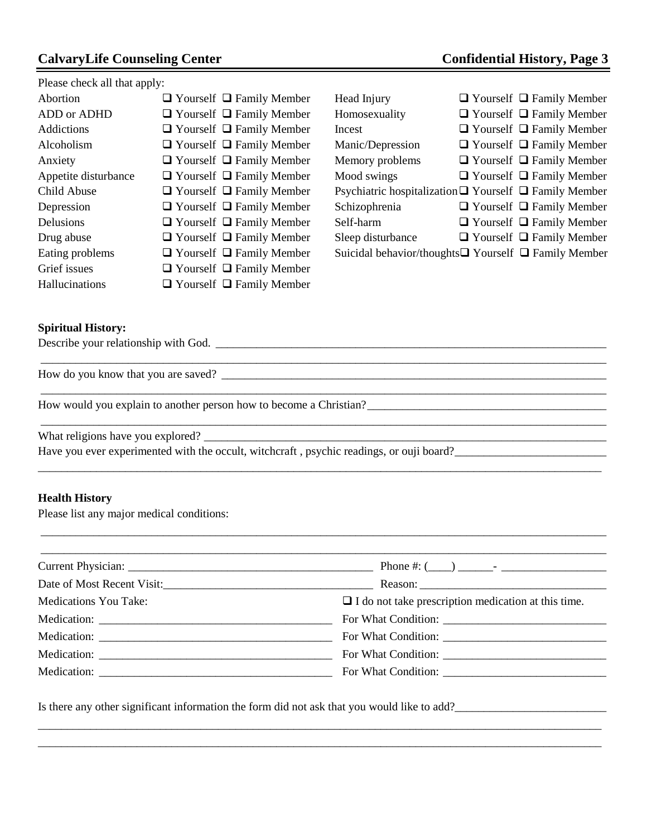## **CalvaryLife Counseling Center Confidential History, Page 3**

Please check all that apply:

| Abortion             | $\Box$ Yourself $\Box$ Family Member |
|----------------------|--------------------------------------|
| ADD or ADHD          | $\Box$ Yourself $\Box$ Family Member |
| Addictions           | $\Box$ Yourself $\Box$ Family Member |
| Alcoholism           | $\Box$ Yourself $\Box$ Family Member |
| Anxiety              | $\Box$ Yourself $\Box$ Family Member |
| Appetite disturbance | $\Box$ Yourself $\Box$ Family Member |
| Child Abuse          | $\Box$ Yourself $\Box$ Family Member |
| Depression           | $\Box$ Yourself $\Box$ Family Member |
| Delusions            | $\Box$ Yourself $\Box$ Family Member |
| Drug abuse           | $\Box$ Yourself $\Box$ Family Member |
| Eating problems      | $\Box$ Yourself $\Box$ Family Member |
| Grief issues         | $\Box$ Yourself $\Box$ Family Member |
| Hallucinations       | $\Box$ Yourself $\Box$ Family Member |

| Head Injury                                                      |  | $\Box$ Yourself $\Box$ Family Member |
|------------------------------------------------------------------|--|--------------------------------------|
| Homosexuality                                                    |  | $\Box$ Yourself $\Box$ Family Member |
| Incest                                                           |  | $\Box$ Yourself $\Box$ Family Member |
| Manic/Depression                                                 |  | $\Box$ Yourself $\Box$ Family Member |
| Memory problems                                                  |  | $\Box$ Yourself $\Box$ Family Member |
| Mood swings                                                      |  | $\Box$ Yourself $\Box$ Family Member |
| Psychiatric hospitalization $\Box$ Yourself $\Box$ Family Member |  |                                      |
| Schizophrenia                                                    |  | $\Box$ Yourself $\Box$ Family Member |
| Self-harm                                                        |  | $\Box$ Yourself $\Box$ Family Member |
| Sleep disturbance                                                |  | $\Box$ Yourself $\Box$ Family Member |
| Suicidal behavior/thoughts $\Box$ Yourself $\Box$ Family Member  |  |                                      |

 $\_$  ,  $\_$  ,  $\_$  ,  $\_$  ,  $\_$  ,  $\_$  ,  $\_$  ,  $\_$  ,  $\_$  ,  $\_$  ,  $\_$  ,  $\_$  ,  $\_$  ,  $\_$  ,  $\_$  ,  $\_$  ,  $\_$  ,  $\_$  ,  $\_$  ,  $\_$ 

#### **Spiritual History:**

Describe your relationship with God. \_\_\_\_\_\_\_\_\_\_\_\_\_\_\_\_\_\_\_\_\_\_\_\_\_\_\_\_\_\_\_\_\_\_\_\_\_\_\_\_\_\_\_\_\_\_\_\_\_\_\_\_\_\_\_\_\_\_\_\_\_\_\_\_\_\_\_

How do you know that you are saved? \_\_\_\_\_\_\_\_\_\_\_\_\_\_\_\_\_\_\_\_\_\_\_\_\_\_\_\_\_\_\_\_\_\_\_\_\_\_\_\_\_\_\_\_\_\_\_\_\_\_\_\_\_\_\_\_\_\_\_\_\_\_\_\_\_\_

How would you explain to another person how to become a Christian?<br> $\frac{1}{2}$ 

What religions have you explored? \_\_\_\_\_\_\_\_\_\_\_\_\_\_\_\_\_\_\_\_\_\_\_\_\_\_\_\_\_\_\_\_\_\_\_\_\_\_\_\_\_\_\_\_\_\_\_\_\_\_\_\_\_\_\_\_\_\_\_\_\_\_\_\_\_\_\_\_\_

Have you ever experimented with the occult, witchcraft, psychic readings, or ouji board?

#### **Health History**

Please list any major medical conditions:

| <b>Medications You Take:</b> | $\Box$ I do not take prescription medication at this time. |  |  |
|------------------------------|------------------------------------------------------------|--|--|
|                              |                                                            |  |  |
|                              |                                                            |  |  |
|                              |                                                            |  |  |
|                              |                                                            |  |  |

\_\_\_\_\_\_\_\_\_\_\_\_\_\_\_\_\_\_\_\_\_\_\_\_\_\_\_\_\_\_\_\_\_\_\_\_\_\_\_\_\_\_\_\_\_\_\_\_\_\_\_\_\_\_\_\_\_\_\_\_\_\_\_\_\_\_\_\_\_\_\_\_\_\_\_\_\_\_\_\_\_\_\_\_\_\_\_\_\_\_\_\_\_\_\_\_\_ \_\_\_\_\_\_\_\_\_\_\_\_\_\_\_\_\_\_\_\_\_\_\_\_\_\_\_\_\_\_\_\_\_\_\_\_\_\_\_\_\_\_\_\_\_\_\_\_\_\_\_\_\_\_\_\_\_\_\_\_\_\_\_\_\_\_\_\_\_\_\_\_\_\_\_\_\_\_\_\_\_\_\_\_\_\_\_\_\_\_\_\_\_\_\_\_\_

\_\_\_\_\_\_\_\_\_\_\_\_\_\_\_\_\_\_\_\_\_\_\_\_\_\_\_\_\_\_\_\_\_\_\_\_\_\_\_\_\_\_\_\_\_\_\_\_\_\_\_\_\_\_\_\_\_\_\_\_\_\_\_\_\_\_\_\_\_\_\_\_\_\_\_\_\_\_\_\_\_\_\_\_\_\_\_\_\_\_\_\_\_\_\_\_\_

\_\_\_\_\_\_\_\_\_\_\_\_\_\_\_\_\_\_\_\_\_\_\_\_\_\_\_\_\_\_\_\_\_\_\_\_\_\_\_\_\_\_\_\_\_\_\_\_\_\_\_\_\_\_\_\_\_\_\_\_\_\_\_\_\_\_\_\_\_\_\_\_\_\_\_\_\_\_\_\_\_\_\_\_\_\_\_\_\_\_\_\_\_\_\_\_\_

\_\_\_\_\_\_\_\_\_\_\_\_\_\_\_\_\_\_\_\_\_\_\_\_\_\_\_\_\_\_\_\_\_\_\_\_\_\_\_\_\_\_\_\_\_\_\_\_\_\_\_\_\_\_\_\_\_\_\_\_\_\_\_\_\_\_\_\_\_\_\_\_\_\_\_\_\_\_\_\_\_\_\_\_\_\_\_\_\_\_\_\_\_\_\_\_\_

\_\_\_\_\_\_\_\_\_\_\_\_\_\_\_\_\_\_\_\_\_\_\_\_\_\_\_\_\_\_\_\_\_\_\_\_\_\_\_\_\_\_\_\_\_\_\_\_\_\_\_\_\_\_\_\_\_\_\_\_\_\_\_\_\_\_\_\_\_\_\_\_\_\_\_\_\_\_\_\_\_\_\_\_\_\_\_\_\_\_\_\_\_\_\_\_\_

Is there any other significant information the form did not ask that you would like to add?\_\_\_\_\_\_\_\_\_\_\_\_\_\_\_\_\_\_\_\_\_\_\_\_\_\_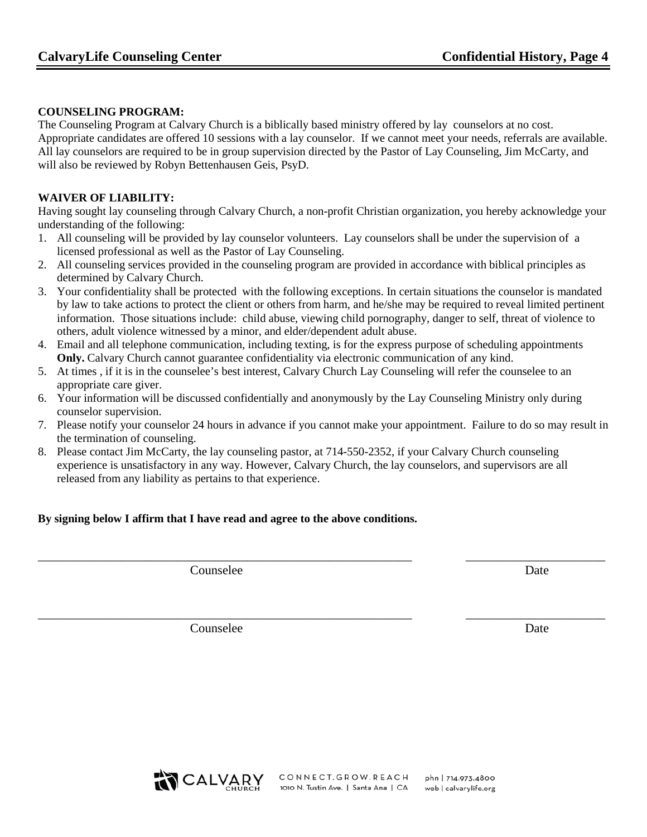#### **COUNSELING PROGRAM:**

The Counseling Program at Calvary Church is a biblically based ministry offered by lay counselors at no cost. Appropriate candidates are offered 10 sessions with a lay counselor. If we cannot meet your needs, referrals are available. All lay counselors are required to be in group supervision directed by the Pastor of Lay Counseling, Jim McCarty, and will also be reviewed by Robyn Bettenhausen Geis, PsyD.

#### **WAIVER OF LIABILITY:**

Having sought lay counseling through Calvary Church, a non-profit Christian organization, you hereby acknowledge your understanding of the following:

- 1. All counseling will be provided by lay counselor volunteers. Lay counselors shall be under the supervision of a licensed professional as well as the Pastor of Lay Counseling.
- 2. All counseling services provided in the counseling program are provided in accordance with biblical principles as determined by Calvary Church.
- 3. Your confidentiality shall be protected with the following exceptions. In certain situations the counselor is mandated by law to take actions to protect the client or others from harm, and he/she may be required to reveal limited pertinent information. Those situations include: child abuse, viewing child pornography, danger to self, threat of violence to others, adult violence witnessed by a minor, and elder/dependent adult abuse.
- 4. Email and all telephone communication, including texting, is for the express purpose of scheduling appointments **Only.** Calvary Church cannot guarantee confidentiality via electronic communication of any kind.
- 5. At times , if it is in the counselee's best interest, Calvary Church Lay Counseling will refer the counselee to an appropriate care giver.
- 6. Your information will be discussed confidentially and anonymously by the Lay Counseling Ministry only during counselor supervision.
- 7. Please notify your counselor 24 hours in advance if you cannot make your appointment. Failure to do so may result in the termination of counseling.

\_\_\_\_\_\_\_\_\_\_\_\_\_\_\_\_\_\_\_\_\_\_\_\_\_\_\_\_\_\_\_\_\_\_\_\_\_\_\_\_\_\_\_\_\_\_\_\_\_\_\_\_\_\_\_\_\_\_\_ \_\_\_\_\_\_\_\_\_\_\_\_\_\_\_\_\_\_\_\_\_\_

\_\_\_\_\_\_\_\_\_\_\_\_\_\_\_\_\_\_\_\_\_\_\_\_\_\_\_\_\_\_\_\_\_\_\_\_\_\_\_\_\_\_\_\_\_\_\_\_\_\_\_\_\_\_\_\_\_\_\_ \_\_\_\_\_\_\_\_\_\_\_\_\_\_\_\_\_\_\_\_\_\_

8. Please contact Jim McCarty, the lay counseling pastor, at 714-550-2352, if your Calvary Church counseling experience is unsatisfactory in any way. However, Calvary Church, the lay counselors, and supervisors are all released from any liability as pertains to that experience.

#### **By signing below I affirm that I have read and agree to the above conditions.**

**Counselee** Date

**Counselee** Date



phn | 714.973.4800 web | calvarylife.org